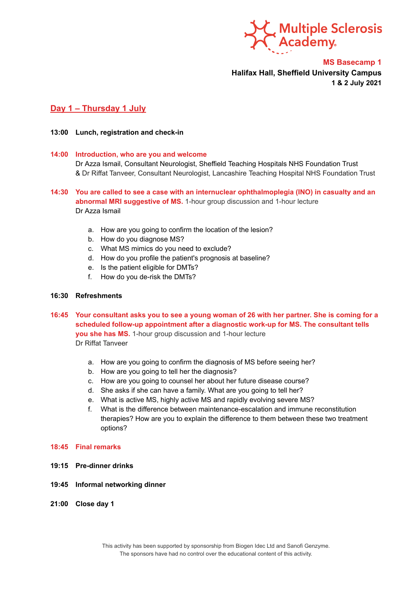

**MS Basecamp 1 Halifax Hall, Sheffield University Campus 1 & 2 July 2021**

# **Day 1 – Thursday 1 July**

#### **13:00 Lunch, registration and check-in**

#### **14:00 Introduction, who are you and welcome**

Dr Azza Ismail, Consultant Neurologist, Sheffield Teaching Hospitals NHS Foundation Trust & Dr Riffat Tanveer, Consultant Neurologist, Lancashire Teaching Hospital NHS Foundation Trust

## **14:30 You are called to see a case with an internuclear ophthalmoplegia (INO) in casualty and an abnormal MRI suggestive of MS.** 1-hour group discussion and 1-hour lecture Dr Azza Ismail

- a. How are you going to confirm the location of the lesion?
- b. How do you diagnose MS?
- c. What MS mimics do you need to exclude?
- d. How do you profile the patient's prognosis at baseline?
- e. Is the patient eligible for DMTs?
- f. How do you de-risk the DMTs?

#### **16:30 Refreshments**

16:45 Your consultant asks you to see a young woman of 26 with her partner. She is coming for a **scheduled follow-up appointment after a diagnostic work-up for MS. The consultant tells you she has MS.** 1-hour group discussion and 1-hour lecture Dr Riffat Tanveer

- a. How are you going to confirm the diagnosis of MS before seeing her?
- b. How are you going to tell her the diagnosis?
- c. How are you going to counsel her about her future disease course?
- d. She asks if she can have a family. What are you going to tell her?
- e. What is active MS, highly active MS and rapidly evolving severe MS?
- f. What is the difference between maintenance-escalation and immune reconstitution therapies? How are you to explain the difference to them between these two treatment options?

### **18:45 Final remarks**

- **19:15 Pre-dinner drinks**
- **19:45 Informal networking dinner**
- **21:00 Close day 1**